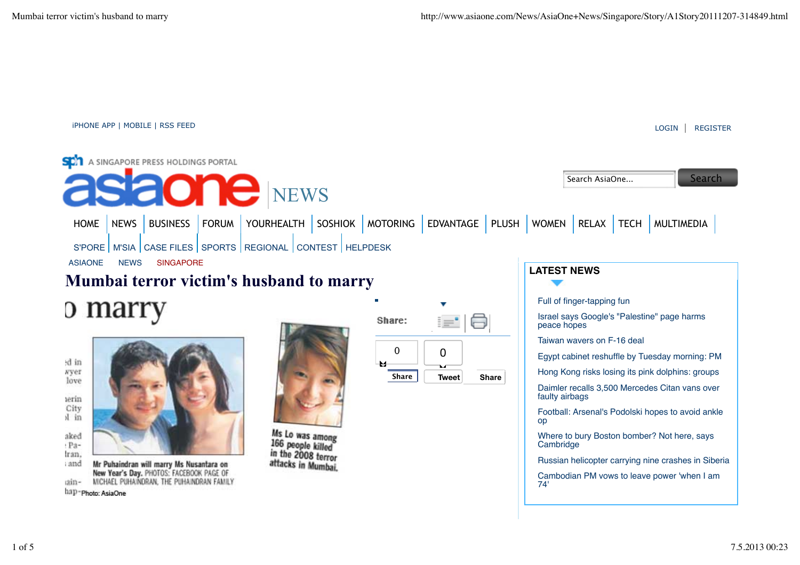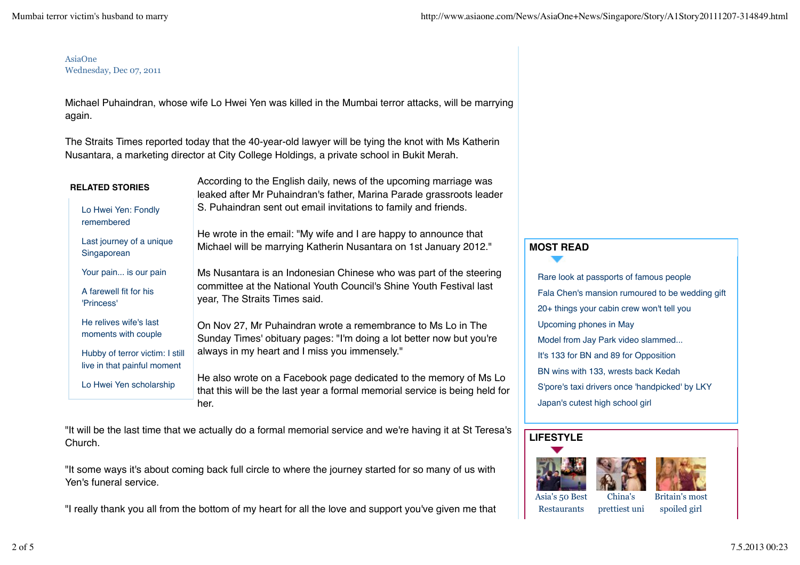#### AsiaOne Wednesday, Dec 07, 2011

Michael Puhaindran, whose wife Lo Hwei Yen was killed in the Mumbai terror attacks, will be marrying again.

The Straits Times reported today that the 40-year-old lawyer will be tying the knot with Ms Katherin Nusantara, a marketing director at City College Holdings, a private school in Bukit Merah.

| <b>RELATED STORIES</b>                                         | According to the English daily, news of the upcoming marriage was<br>leaked after Mr Puhaindran's father, Marina Parade grassroots leader        |  |
|----------------------------------------------------------------|--------------------------------------------------------------------------------------------------------------------------------------------------|--|
| Lo Hwei Yen: Fondly<br>remembered                              | S. Puhaindran sent out email invitations to family and friends.                                                                                  |  |
| Last journey of a unique<br>Singaporean                        | He wrote in the email: "My wife and I are happy to announce that<br>Michael will be marrying Katherin Nusantara on 1st January 2012."            |  |
| Your pain is our pain                                          | Ms Nusantara is an Indonesian Chinese who was part of the steering                                                                               |  |
| A farewell fit for his<br>'Princess'                           | committee at the National Youth Council's Shine Youth Festival last<br>year, The Straits Times said.                                             |  |
| He relives wife's last<br>moments with couple                  | On Nov 27, Mr Puhaindran wrote a remembrance to Ms Lo in The<br>Sunday Times' obituary pages: "I'm doing a lot better now but you're             |  |
| Hubby of terror victim: I still<br>live in that painful moment | always in my heart and I miss you immensely."                                                                                                    |  |
| Lo Hwei Yen scholarship                                        | He also wrote on a Facebook page dedicated to the memory of Ms Lo<br>that this will be the last year a formal memorial service is being held for |  |
|                                                                | her.                                                                                                                                             |  |

"It will be the last time that we actually do a formal memorial service and we're having it at St Teresa's Church.

"It some ways it's about coming back full circle to where the journey started for so many of us with Yen's funeral service.

"I really thank you all from the bottom of my heart for all the love and support you've given me that

# **MOST READ**

Rare look at passports of famous people Fala Chen's mansion rumoured to be wedding gift 20+ things your cabin crew won't tell you Upcoming phones in May Model from Jay Park video slammed... It's 133 for BN and 89 for Opposition BN wins with 133, wrests back Kedah S'pore's taxi drivers once 'handpicked' by LKY Japan's cutest high school girl

# **LIFESTYLE**







Asia's 50 Best Restaurants

China's prettiest uni

Britain's most spoiled girl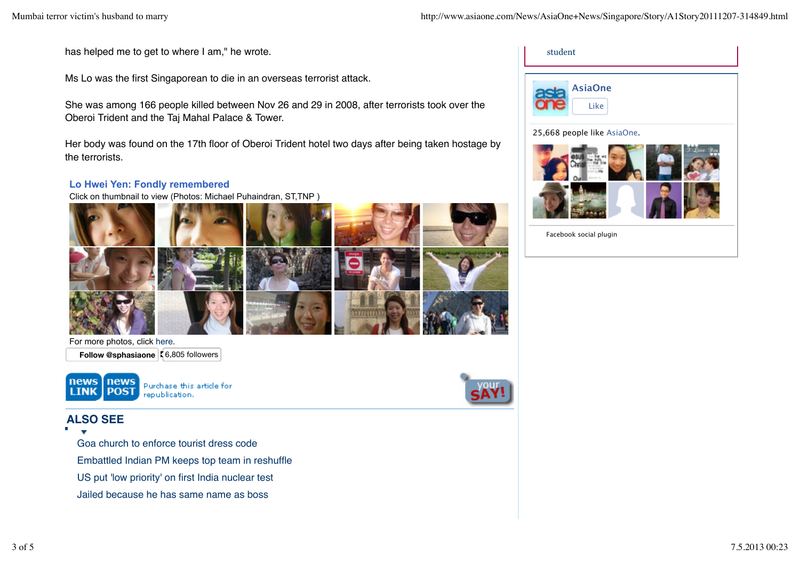has helped me to get to where I am," he wrote.

Ms Lo was the first Singaporean to die in an overseas terrorist attack.

She was among 166 people killed between Nov 26 and 29 in 2008, after terrorists took over the Oberoi Trident and the Taj Mahal Palace & Tower.

Her body was found on the 17th floor of Oberoi Trident hotel two days after being taken hostage by the terrorists.

### **Lo Hwei Yen: Fondly remembered**

Click on thumbnail to view (Photos: Michael Puhaindran, ST,TNP )





For more photos, click here. **Follow @sphasiaone**  $\zeta$  6,805 followers







25,668 people like AsiaOne.



Facebook social plugin

# **ALSO SEE**

Goa church to enforce tourist dress code Embattled Indian PM keeps top team in reshuffle

US put 'low priority' on first India nuclear test

Jailed because he has same name as boss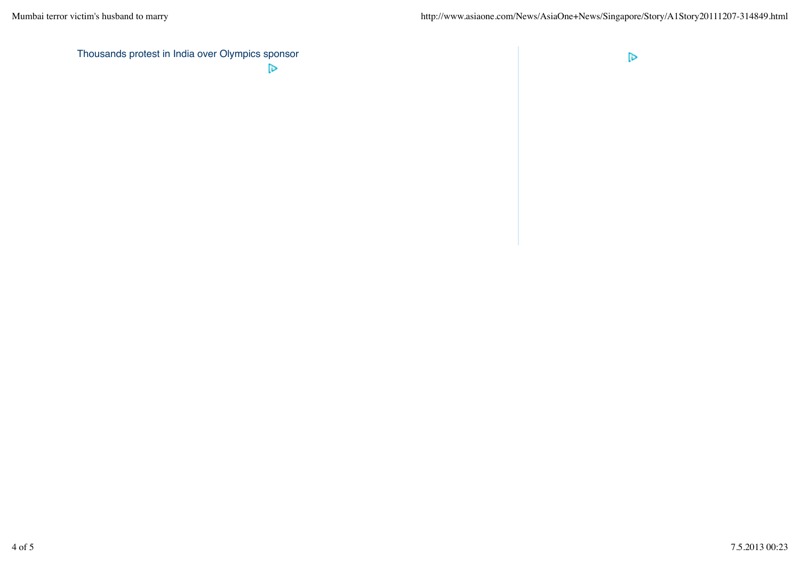Thousands protest in India over Olympics sponsor  $\triangleright$ 

 $\triangleright$